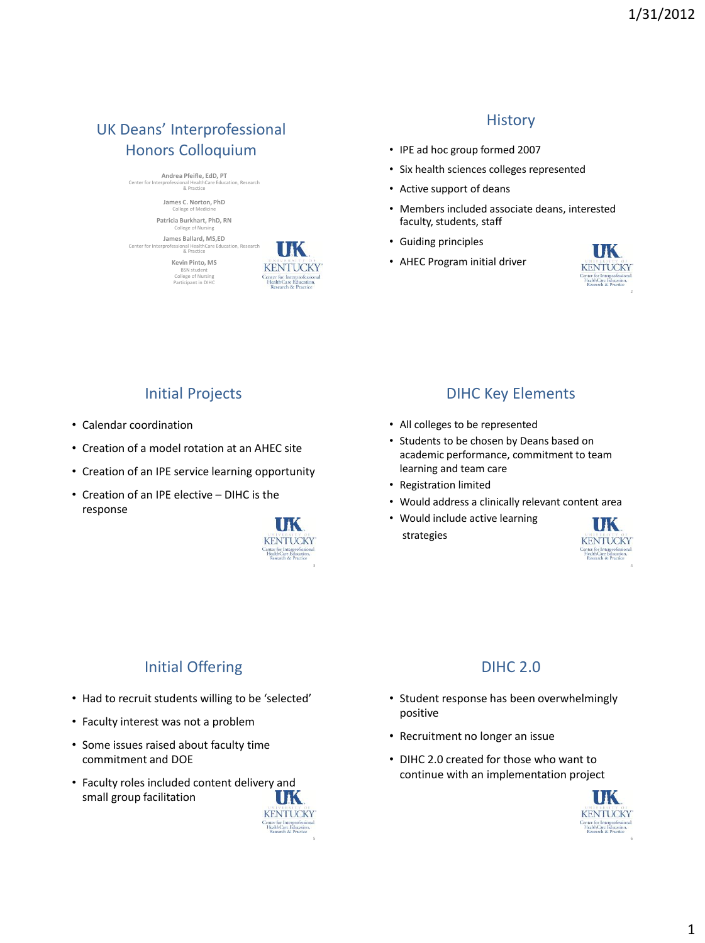# UK Deans' Interprofessional Honors Colloquium

**Andrea Pfeifle, EdD, PT** Center for Interprofessional HealthCare Education, Research & Practice

> **James C. Norton, PhD** College of Medicine **Patricia Burkhart, PhD, RN**

ogo of Nu **James Ballard, MS,ED**

Center for Interprofessional HealthCare Education, Research & Practice **Kevin Pinto, MS**  BSN student College of Nursing Participant in DIHC



#### **History**

- IPE ad hoc group formed 2007
- Six health sciences colleges represented
- Active support of deans
- Members included associate deans, interested faculty, students, staff
- Guiding principles
- AHEC Program initial driver



# Initial Projects

- Calendar coordination
- Creation of a model rotation at an AHEC site
- Creation of an IPE service learning opportunity
- Creation of an IPE elective DIHC is the response



## DIHC Key Elements

- All colleges to be represented
- Students to be chosen by Deans based on academic performance, commitment to team learning and team care
- Registration limited
- Would address a clinically relevant content area
- Would include active learning strategies



# Initial Offering

- Had to recruit students willing to be 'selected'
- Faculty interest was not a problem
- Some issues raised about faculty time commitment and DOE
- Faculty roles included content delivery and small group facilitation



# DIHC 2.0

- Student response has been overwhelmingly positive
- Recruitment no longer an issue
- DIHC 2.0 created for those who want to continue with an implementation project

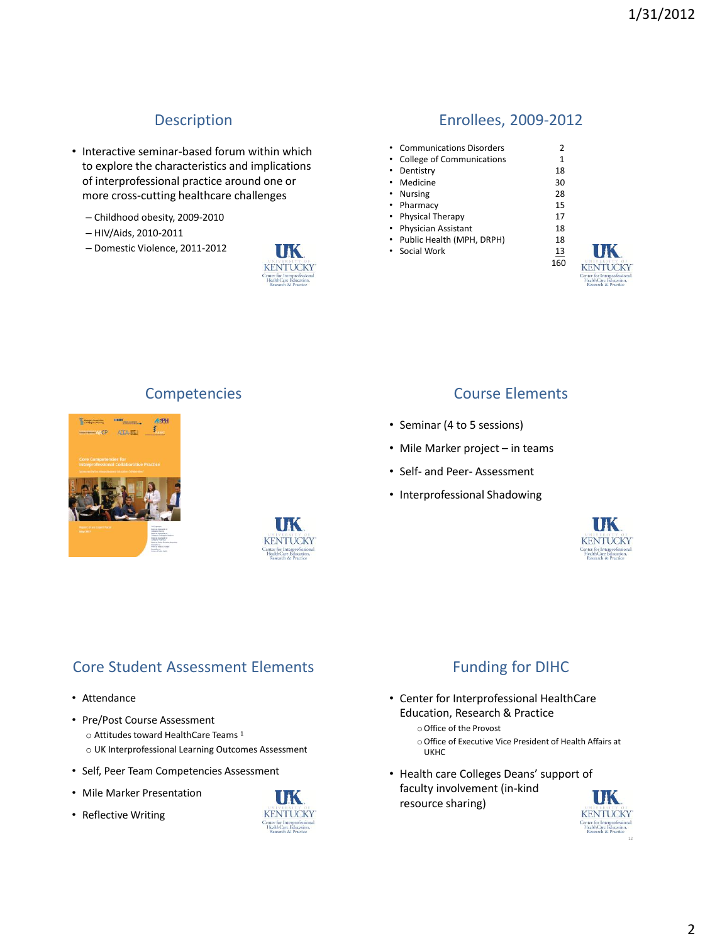## Description

- Interactive seminar-based forum within which to explore the characteristics and implications of interprofessional practice around one or more cross-cutting healthcare challenges
	- Childhood obesity, 2009-2010
	- HIV/Aids, 2010-2011
	- Domestic Violence, 2011-2012



#### Enrollees, 2009-2012

• Communications Disorders 2 • College of Communications 1<br>• Dentistry 18 • Dentistry • Medicine 30 • Nursing 28<br>• Pharmacy 15  $\cdot$  Pharmacy • Physical Therapy 17<br>• Physician Assistant 18 • Physician Assistant 18<br>• Public Health (MPH. DRPH) 18 • Public Health (MPH, DRPH) • Social Work 13 160





### Competencies Course Elements

- Seminar (4 to 5 sessions)
- Mile Marker project in teams
- Self- and Peer- Assessment
- Interprofessional Shadowing



## Core Student Assessment Elements

- Attendance
- Pre/Post Course Assessment o Attitudes toward HealthCare Teams <sup>1</sup> o UK Interprofessional Learning Outcomes Assessment
- Self, Peer Team Competencies Assessment
- Mile Marker Presentation
- Reflective Writing



## Funding for DIHC

- Center for Interprofessional HealthCare Education, Research & Practice
	- oOffice of the Provost
	- oOffice of Executive Vice President of Health Affairs at UKHC
- Health care Colleges Deans' support of faculty involvement (in-kind resource sharing)

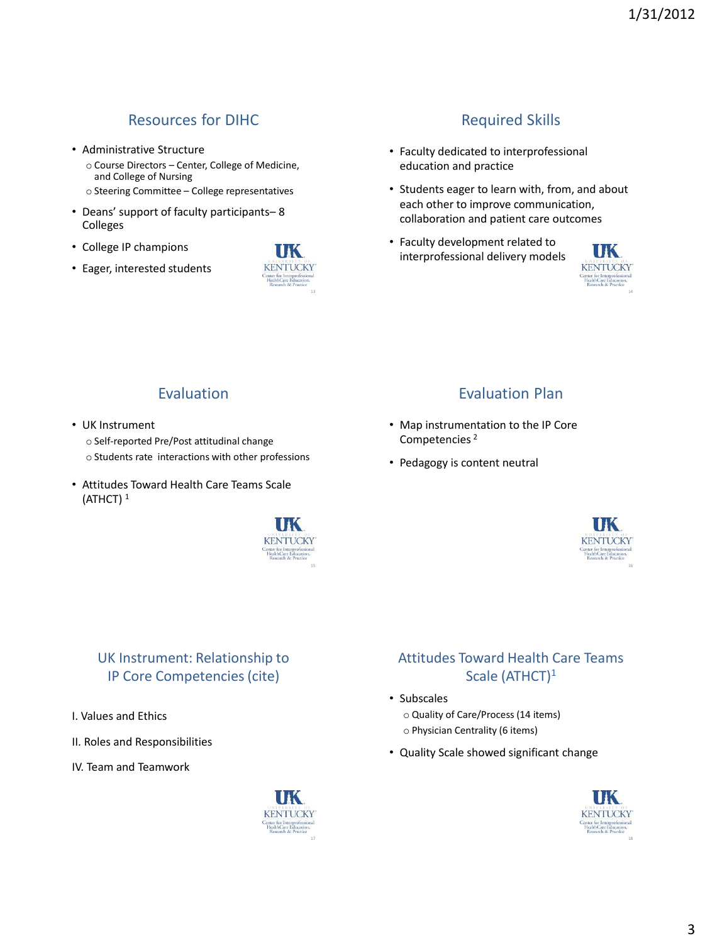# Resources for DIHC

- Administrative Structure
	- o Course Directors Center, College of Medicine, and College of Nursing
	- o Steering Committee College representatives
- Deans' support of faculty participants– 8 Colleges
- College IP champions
- Eager, interested students



## Required Skills

- Faculty dedicated to interprofessional education and practice
- Students eager to learn with, from, and about each other to improve communication, collaboration and patient care outcomes
- Faculty development related to interprofessional delivery models



14

#### Evaluation

- UK Instrument
	- o Self-reported Pre/Post attitudinal change
	- o Students rate interactions with other professions
- Attitudes Toward Health Care Teams Scale (ATHCT) <sup>1</sup>



## UK Instrument: Relationship to IP Core Competencies (cite)

- I. Values and Ethics
- II. Roles and Responsibilities
- IV. Team and Teamwork



## Evaluation Plan

- Map instrumentation to the IP Core Competencies <sup>2</sup>
- Pedagogy is content neutral



#### Attitudes Toward Health Care Teams Scale (ATHCT)<sup>1</sup>

- Subscales
	- o Quality of Care/Process (14 items)
	- o Physician Centrality (6 items)
- Quality Scale showed significant change

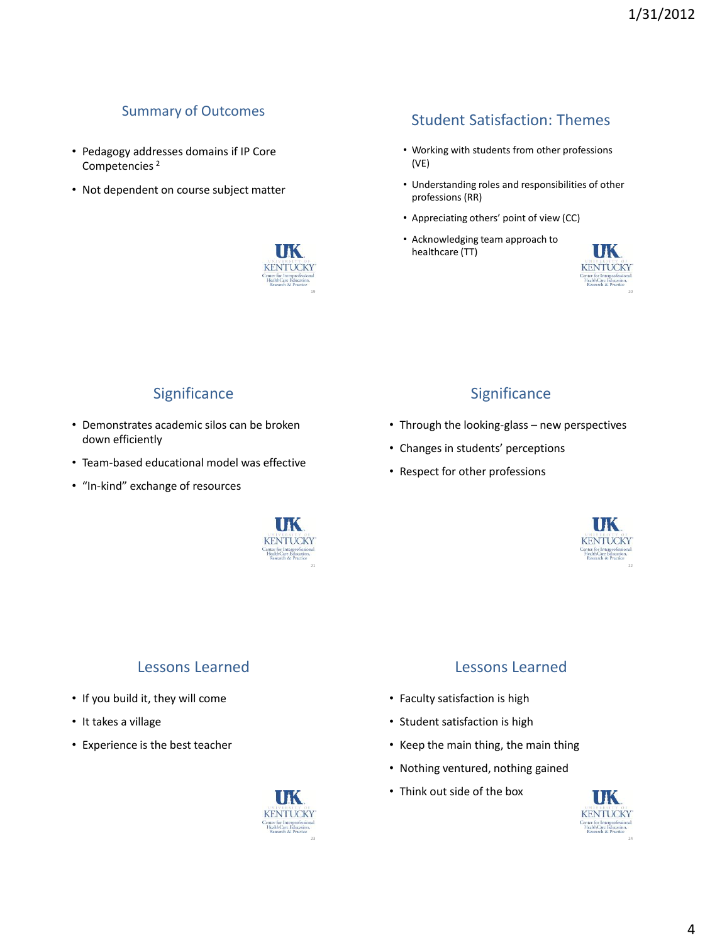## Summary of Outcomes

- Pedagogy addresses domains if IP Core Competencies <sup>2</sup>
- Not dependent on course subject matter



## Student Satisfaction: Themes

- Working with students from other professions (VE)
- Understanding roles and responsibilities of other professions (RR)
- Appreciating others' point of view (CC)
- Acknowledging team approach to healthcare (TT)



## **Significance**

- Demonstrates academic silos can be broken down efficiently
- Team-based educational model was effective
- "In-kind" exchange of resources



## Lessons Learned

- If you build it, they will come
- It takes a village
- Experience is the best teacher



# **Significance**

- Through the looking-glass new perspectives
- Changes in students' perceptions
- Respect for other professions



#### Lessons Learned

- Faculty satisfaction is high
- Student satisfaction is high
- Keep the main thing, the main thing
- Nothing ventured, nothing gained
- Think out side of the box